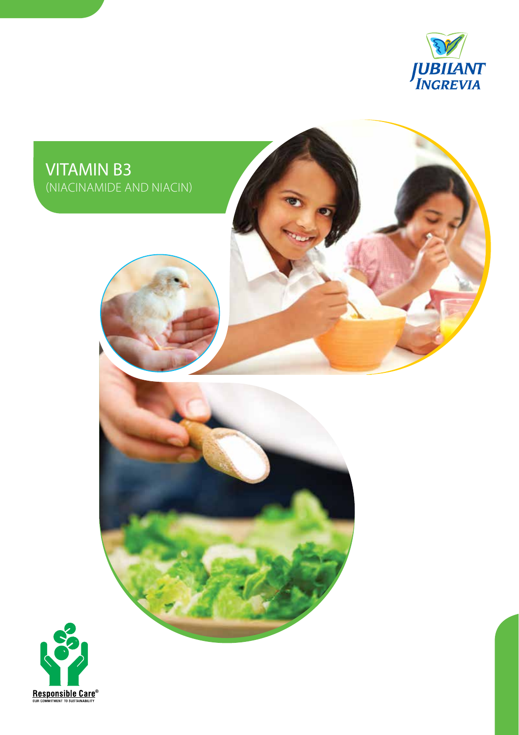



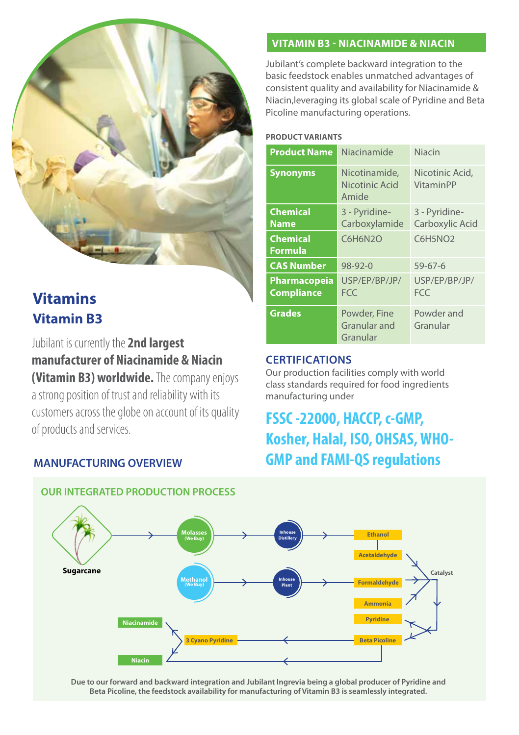

# **Vitamins Vitamin B3**

Jubilant is currently the **2nd largest manufacturer of Niacinamide & Niacin (Vitamin B3) worldwide.** The company enjoys a strong position of trust and reliability with its customers across the globe on account of its quality of products and services.

# **MANUFACTURING OVERVIEW**

# **Vitamin B3 - Niacinamide & Niacin**

Jubilant's complete backward integration to the basic feedstock enables unmatched advantages of consistent quality and availability for Niacinamide & Niacin,leveraging its global scale of Pyridine and Beta Picoline manufacturing operations.

#### **Product Variants**

| <b>Product Name</b>                      | Niacinamide                              | <b>Niacin</b>                       |
|------------------------------------------|------------------------------------------|-------------------------------------|
| <b>Synonyms</b>                          | Nicotinamide,<br>Nicotinic Acid<br>Amide | Nicotinic Acid,<br><b>VitaminPP</b> |
| <b>Chemical</b><br><b>Name</b>           | 3 - Pyridine-<br>Carboxylamide           | 3 - Pyridine-<br>Carboxylic Acid    |
| <b>Chemical</b><br><b>Formula</b>        | <b>C6H6N2O</b>                           | C6H5NO <sub>2</sub>                 |
| <b>CAS Number</b>                        | $98 - 92 - 0$                            | $59 - 67 - 6$                       |
| <b>Pharmacopeia</b><br><b>Compliance</b> | USP/EP/BP/JP/<br><b>FCC</b>              | USP/EP/BP/JP/<br>FCC.               |
| <b>Grades</b>                            | Powder, Fine<br>Granular and<br>Granular | Powder and<br>Granular              |

## **Certifications**

Our production facilities comply with world class standards required for food ingredients manufacturing under

# **FSSC -22000, HACCP, c-GMP, Kosher, Halal, ISO, OHSAS, WHO-GMP and FAMI-QS regulations**



## **OUR INTEGRATED PRODUCTION PROCESS**

**Due to our forward and backward integration and Jubilant Ingrevia being a global producer of Pyridine and Beta Picoline, the feedstock availability for manufacturing of Vitamin B3 is seamlessly integrated.**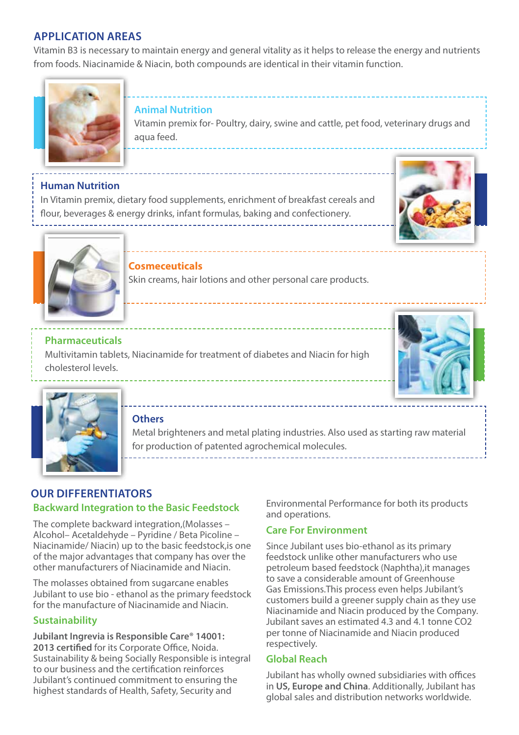# **Application Areas**

Vitamin B3 is necessary to maintain energy and general vitality as it helps to release the energy and nutrients from foods. Niacinamide & Niacin, both compounds are identical in their vitamin function.



### **Animal Nutrition**

Vitamin premix for- Poultry, dairy, swine and cattle, pet food, veterinary drugs and aqua feed.

# **Human Nutrition**

In Vitamin premix, dietary food supplements, enrichment of breakfast cereals and flour, beverages & energy drinks, infant formulas, baking and confectionery.





# **Cosmeceuticals**

Skin creams, hair lotions and other personal care products.

# **Pharmaceuticals**

Multivitamin tablets, Niacinamide for treatment of diabetes and Niacin for high cholesterol levels.





### **Others**

Metal brighteners and metal plating industries. Also used as starting raw material for production of patented agrochemical molecules.

# **Backward Integration to the Basic Feedstock Our Differentiators**

The complete backward integration,(Molasses – Alcohol– Acetaldehyde – Pyridine / Beta Picoline – Niacinamide/ Niacin) up to the basic feedstock,is one of the major advantages that company has over the other manufacturers of Niacinamide and Niacin.

The molasses obtained from sugarcane enables Jubilant to use bio - ethanol as the primary feedstock for the manufacture of Niacinamide and Niacin.

## **Sustainability**

**Jubilant Ingrevia is Responsible Care® 14001: 2013 certified** for its Corporate Office, Noida. Sustainability & being Socially Responsible is integral to our business and the certification reinforces Jubilant's continued commitment to ensuring the highest standards of Health, Safety, Security and

Environmental Performance for both its products and operations.

# **Care For Environment**

Since Jubilant uses bio-ethanol as its primary feedstock unlike other manufacturers who use petroleum based feedstock (Naphtha),it manages to save a considerable amount of Greenhouse Gas Emissions.This process even helps Jubilant's customers build a greener supply chain as they use Niacinamide and Niacin produced by the Company. Jubilant saves an estimated 4.3 and 4.1 tonne CO2 per tonne of Niacinamide and Niacin produced respectively.

### **Global Reach**

Jubilant has wholly owned subsidiaries with offices in **US, Europe and China**. Additionally, Jubilant has global sales and distribution networks worldwide.